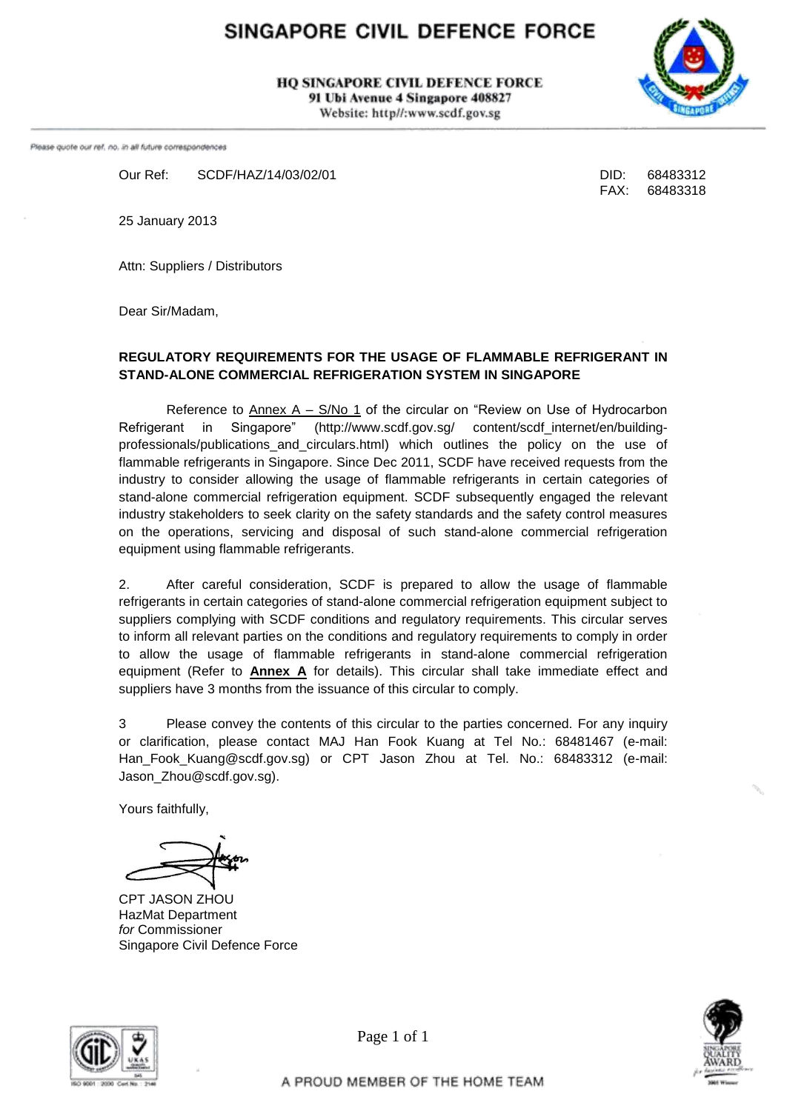# SINGAPORE CIVIL DEFENCE FORCE

**HO SINGAPORE CIVIL DEFENCE FORCE** 91 Ubi Avenue 4 Singapore 408827

Website: http//:www.scdf.gov.sg



Please quote our ref. no. in all future correspondences

Our Ref: SCDF/HAZ/14/03/02/01 DID: 68483312

FAX: 68483318

25 January 2013

Attn: Suppliers / Distributors

Dear Sir/Madam,

### **REGULATORY REQUIREMENTS FOR THE USAGE OF FLAMMABLE REFRIGERANT IN STAND-ALONE COMMERCIAL REFRIGERATION SYSTEM IN SINGAPORE**

Reference to  $\Delta$ nnex  $A - S/No$  1 of the circular on "Review on Use of Hydrocarbon" Refrigerant in Singapore" (http://www.scdf.gov.sg/ content/scdf\_internet/en/buildingprofessionals/publications\_and\_circulars.html) which outlines the policy on the use of flammable refrigerants in Singapore. Since Dec 2011, SCDF have received requests from the industry to consider allowing the usage of flammable refrigerants in certain categories of stand-alone commercial refrigeration equipment. SCDF subsequently engaged the relevant industry stakeholders to seek clarity on the safety standards and the safety control measures on the operations, servicing and disposal of such stand-alone commercial refrigeration equipment using flammable refrigerants.

2. After careful consideration, SCDF is prepared to allow the usage of flammable refrigerants in certain categories of stand-alone commercial refrigeration equipment subject to suppliers complying with SCDF conditions and regulatory requirements. This circular serves to inform all relevant parties on the conditions and regulatory requirements to comply in order to allow the usage of flammable refrigerants in stand-alone commercial refrigeration equipment (Refer to **Annex A** for details). This circular shall take immediate effect and suppliers have 3 months from the issuance of this circular to comply.

3 Please convey the contents of this circular to the parties concerned. For any inquiry or clarification, please contact MAJ Han Fook Kuang at Tel No.: 68481467 (e-mail: Han Fook Kuang@scdf.gov.sg) or CPT Jason Zhou at Tel. No.: 68483312 (e-mail: Jason\_Zhou@scdf.gov.sg).

Yours faithfully,

CPT JASON ZHOU HazMat Department *for* Commissioner Singapore Civil Defence Force





Page 1 of 1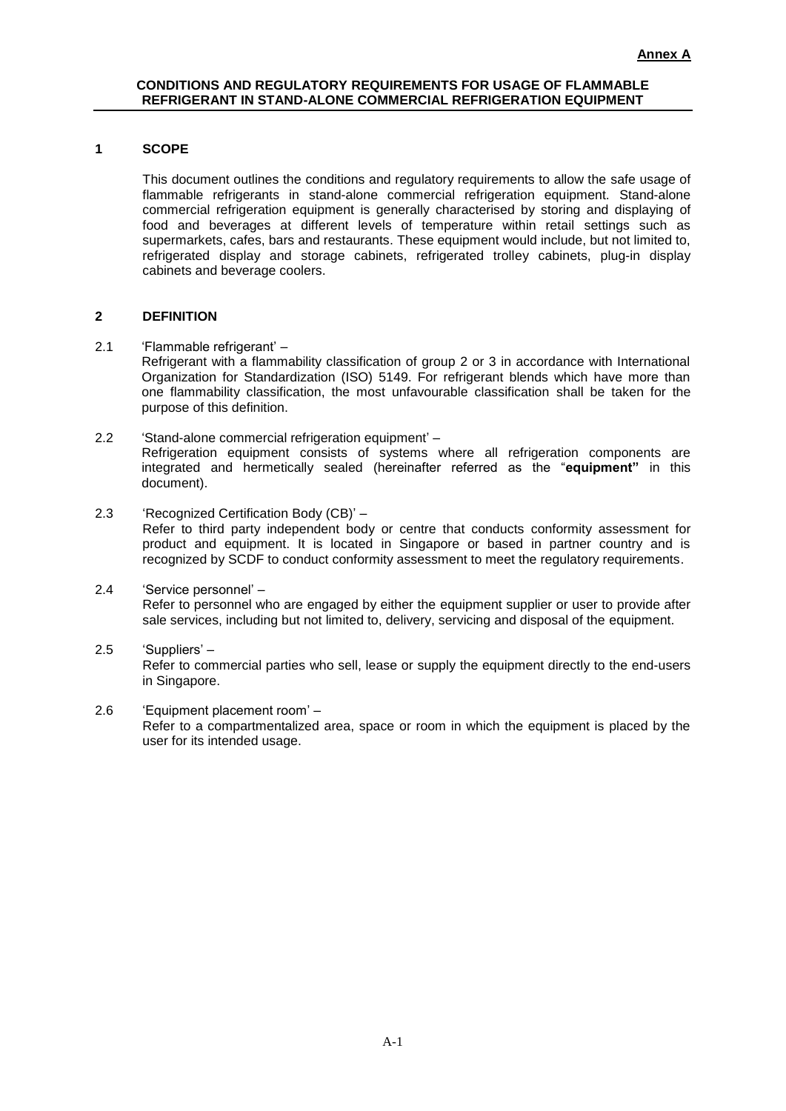#### **1 SCOPE**

This document outlines the conditions and regulatory requirements to allow the safe usage of flammable refrigerants in stand-alone commercial refrigeration equipment. Stand-alone commercial refrigeration equipment is generally characterised by storing and displaying of food and beverages at different levels of temperature within retail settings such as supermarkets, cafes, bars and restaurants. These equipment would include, but not limited to, refrigerated display and storage cabinets, refrigerated trolley cabinets, plug-in display cabinets and beverage coolers.

#### **2 DEFINITION**

2.1 'Flammable refrigerant' –

Refrigerant with a flammability classification of group 2 or 3 in accordance with International Organization for Standardization (ISO) 5149. For refrigerant blends which have more than one flammability classification, the most unfavourable classification shall be taken for the purpose of this definition.

- 2.2 'Stand-alone commercial refrigeration equipment' Refrigeration equipment consists of systems where all refrigeration components are integrated and hermetically sealed (hereinafter referred as the "**equipment"** in this document).
- 2.3 'Recognized Certification Body (CB)' Refer to third party independent body or centre that conducts conformity assessment for product and equipment. It is located in Singapore or based in partner country and is recognized by SCDF to conduct conformity assessment to meet the regulatory requirements.
- 2.4 'Service personnel' Refer to personnel who are engaged by either the equipment supplier or user to provide after sale services, including but not limited to, delivery, servicing and disposal of the equipment.
- 2.5 'Suppliers' Refer to commercial parties who sell, lease or supply the equipment directly to the end-users in Singapore.
- 2.6 'Equipment placement room' Refer to a compartmentalized area, space or room in which the equipment is placed by the user for its intended usage.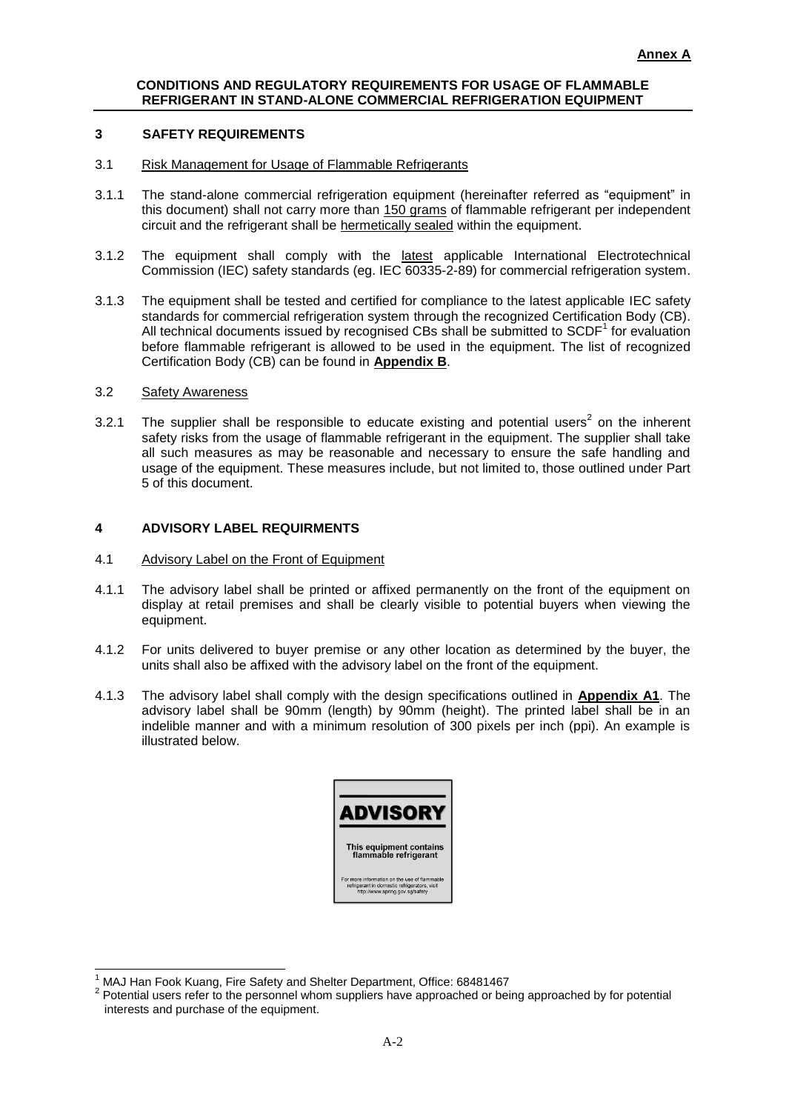#### **3 SAFETY REQUIREMENTS**

- 3.1 Risk Management for Usage of Flammable Refrigerants
- 3.1.1 The stand-alone commercial refrigeration equipment (hereinafter referred as "equipment" in this document) shall not carry more than 150 grams of flammable refrigerant per independent circuit and the refrigerant shall be hermetically sealed within the equipment.
- 3.1.2 The equipment shall comply with the latest applicable International Electrotechnical Commission (IEC) safety standards (eg. IEC 60335-2-89) for commercial refrigeration system.
- 3.1.3 The equipment shall be tested and certified for compliance to the latest applicable IEC safety standards for commercial refrigeration system through the recognized Certification Body (CB). All technical documents issued by recognised CBs shall be submitted to  $SCDF<sup>1</sup>$  for evaluation before flammable refrigerant is allowed to be used in the equipment. The list of recognized Certification Body (CB) can be found in **Appendix B**.

#### 3.2 Safety Awareness

 $\overline{a}$ 

3.2.1 The supplier shall be responsible to educate existing and potential users<sup>2</sup> on the inherent safety risks from the usage of flammable refrigerant in the equipment. The supplier shall take all such measures as may be reasonable and necessary to ensure the safe handling and usage of the equipment. These measures include, but not limited to, those outlined under Part 5 of this document.

### **4 ADVISORY LABEL REQUIRMENTS**

#### 4.1 Advisory Label on the Front of Equipment

- 4.1.1 The advisory label shall be printed or affixed permanently on the front of the equipment on display at retail premises and shall be clearly visible to potential buyers when viewing the equipment.
- 4.1.2 For units delivered to buyer premise or any other location as determined by the buyer, the units shall also be affixed with the advisory label on the front of the equipment.
- 4.1.3 The advisory label shall comply with the design specifications outlined in **Appendix A1**. The advisory label shall be 90mm (length) by 90mm (height). The printed label shall be in an indelible manner and with a minimum resolution of 300 pixels per inch (ppi). An example is illustrated below.



<sup>1</sup> MAJ Han Fook Kuang, Fire Safety and Shelter Department, Office: 68481467

<sup>&</sup>lt;sup>2</sup> Potential users refer to the personnel whom suppliers have approached or being approached by for potential interests and purchase of the equipment.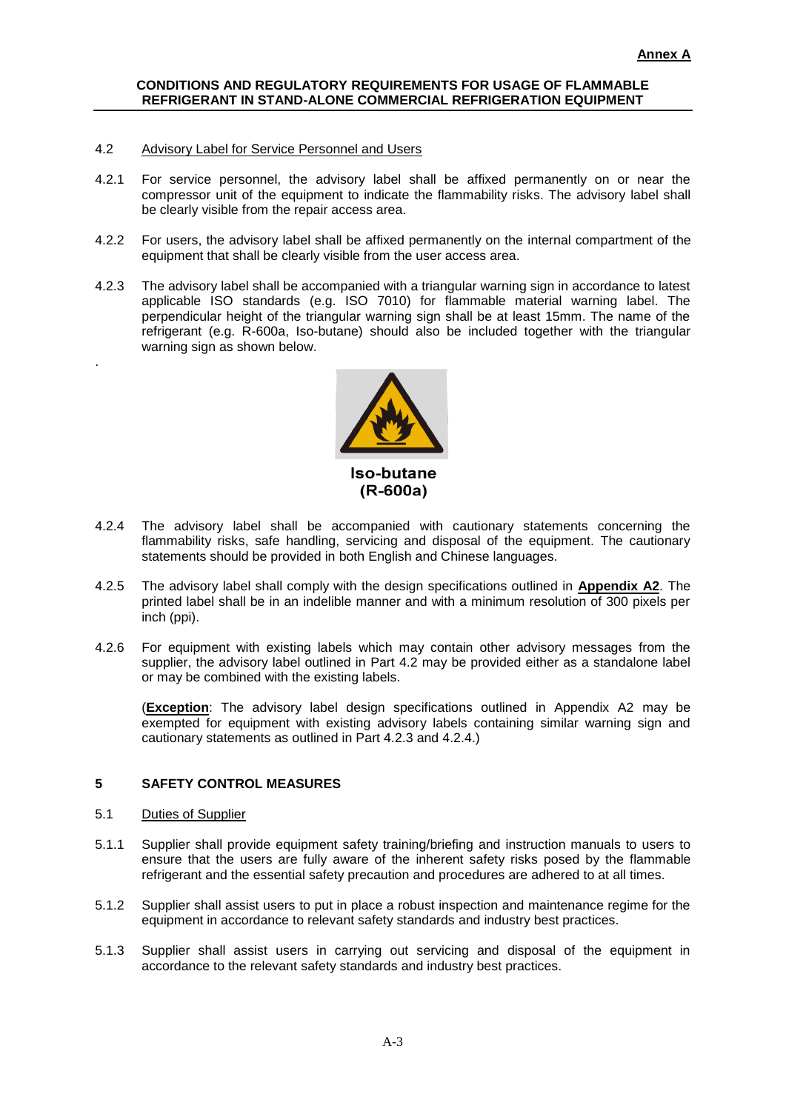#### 4.2 Advisory Label for Service Personnel and Users

- 4.2.1 For service personnel, the advisory label shall be affixed permanently on or near the compressor unit of the equipment to indicate the flammability risks. The advisory label shall be clearly visible from the repair access area.
- 4.2.2 For users, the advisory label shall be affixed permanently on the internal compartment of the equipment that shall be clearly visible from the user access area.
- 4.2.3 The advisory label shall be accompanied with a triangular warning sign in accordance to latest applicable ISO standards (e.g. ISO 7010) for flammable material warning label. The perpendicular height of the triangular warning sign shall be at least 15mm. The name of the refrigerant (e.g. R-600a, Iso-butane) should also be included together with the triangular warning sign as shown below.



- 4.2.4 The advisory label shall be accompanied with cautionary statements concerning the flammability risks, safe handling, servicing and disposal of the equipment. The cautionary statements should be provided in both English and Chinese languages.
- 4.2.5 The advisory label shall comply with the design specifications outlined in **Appendix A2**. The printed label shall be in an indelible manner and with a minimum resolution of 300 pixels per inch (ppi).
- 4.2.6 For equipment with existing labels which may contain other advisory messages from the supplier, the advisory label outlined in Part 4.2 may be provided either as a standalone label or may be combined with the existing labels.

(**Exception**: The advisory label design specifications outlined in Appendix A2 may be exempted for equipment with existing advisory labels containing similar warning sign and cautionary statements as outlined in Part 4.2.3 and 4.2.4.)

#### **5 SAFETY CONTROL MEASURES**

5.1 Duties of Supplier

.

- 5.1.1 Supplier shall provide equipment safety training/briefing and instruction manuals to users to ensure that the users are fully aware of the inherent safety risks posed by the flammable refrigerant and the essential safety precaution and procedures are adhered to at all times.
- 5.1.2 Supplier shall assist users to put in place a robust inspection and maintenance regime for the equipment in accordance to relevant safety standards and industry best practices.
- 5.1.3 Supplier shall assist users in carrying out servicing and disposal of the equipment in accordance to the relevant safety standards and industry best practices.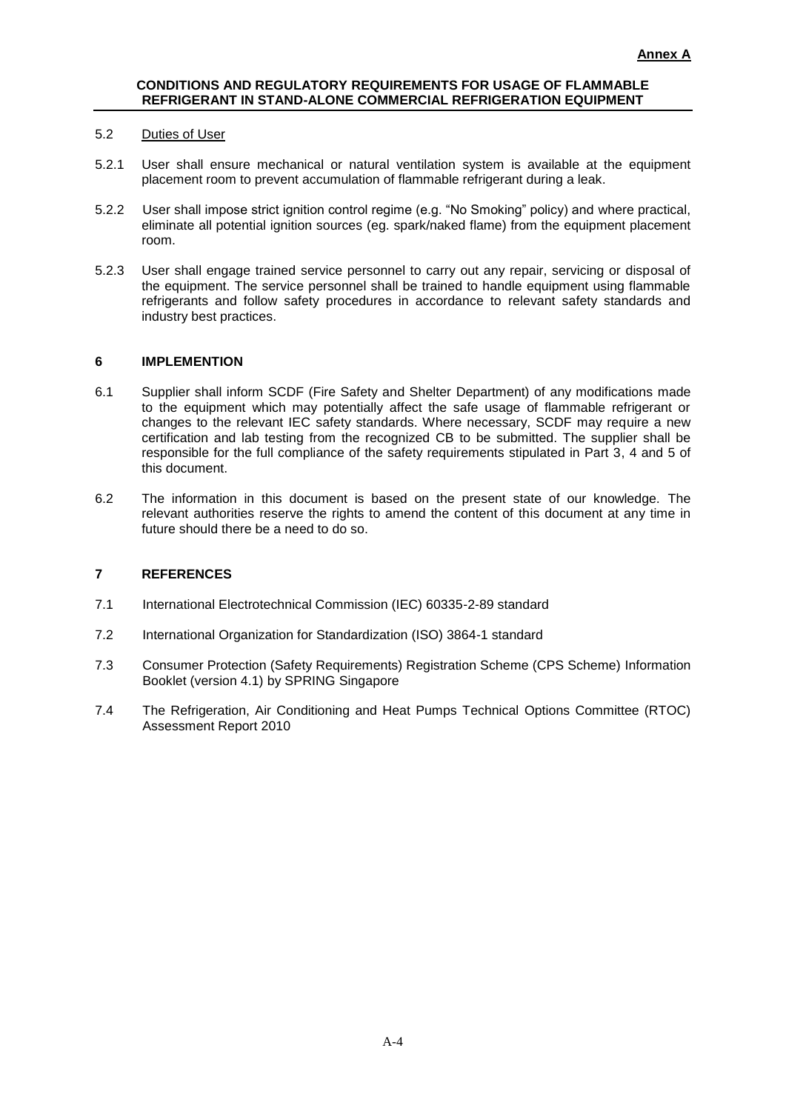#### 5.2 Duties of User

- 5.2.1 User shall ensure mechanical or natural ventilation system is available at the equipment placement room to prevent accumulation of flammable refrigerant during a leak.
- 5.2.2 User shall impose strict ignition control regime (e.g. "No Smoking" policy) and where practical, eliminate all potential ignition sources (eg. spark/naked flame) from the equipment placement room.
- 5.2.3 User shall engage trained service personnel to carry out any repair, servicing or disposal of the equipment. The service personnel shall be trained to handle equipment using flammable refrigerants and follow safety procedures in accordance to relevant safety standards and industry best practices.

#### **6 IMPLEMENTION**

- 6.1 Supplier shall inform SCDF (Fire Safety and Shelter Department) of any modifications made to the equipment which may potentially affect the safe usage of flammable refrigerant or changes to the relevant IEC safety standards. Where necessary, SCDF may require a new certification and lab testing from the recognized CB to be submitted. The supplier shall be responsible for the full compliance of the safety requirements stipulated in Part 3, 4 and 5 of this document.
- 6.2 The information in this document is based on the present state of our knowledge. The relevant authorities reserve the rights to amend the content of this document at any time in future should there be a need to do so.

#### **7 REFERENCES**

- 7.1 International Electrotechnical Commission (IEC) 60335-2-89 standard
- 7.2 International Organization for Standardization (ISO) 3864-1 standard
- 7.3 Consumer Protection (Safety Requirements) Registration Scheme (CPS Scheme) Information Booklet (version 4.1) by SPRING Singapore
- 7.4 The Refrigeration, Air Conditioning and Heat Pumps Technical Options Committee (RTOC) Assessment Report 2010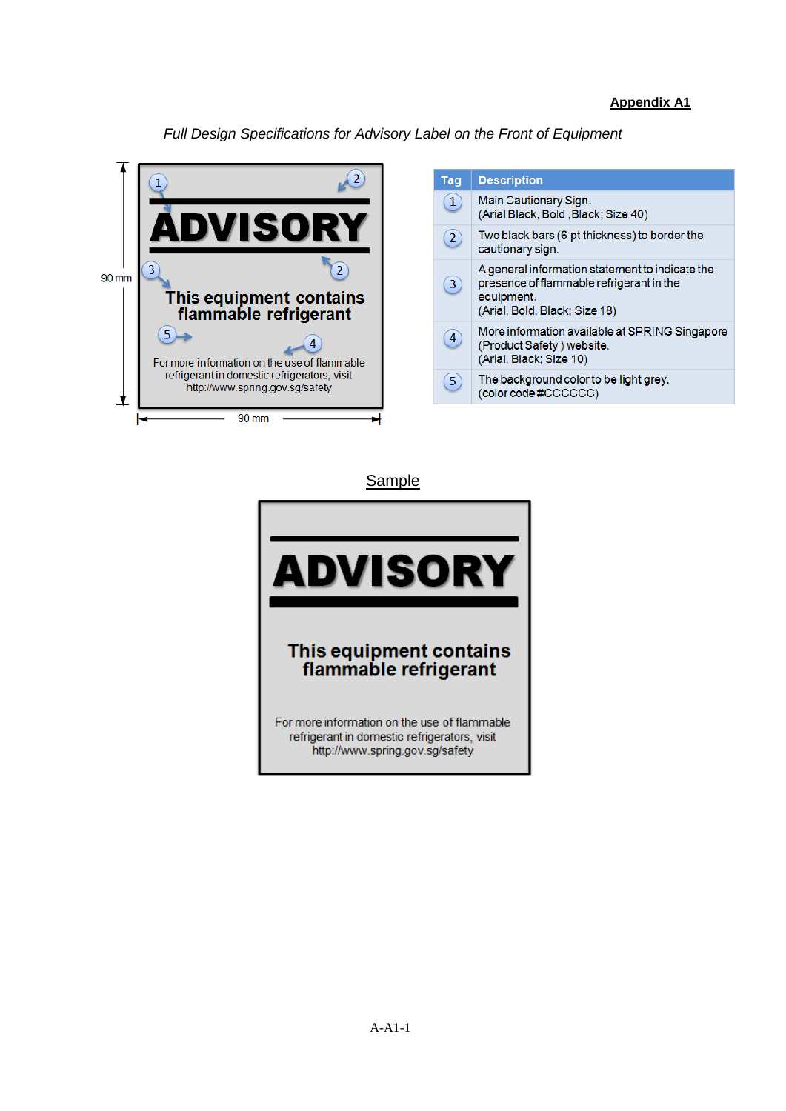### **Appendix A1**

### *Full Design Specifications for Advisory Label on the Front of Equipment*



| Tag            | <b>Description</b>                                                                                                                         |
|----------------|--------------------------------------------------------------------------------------------------------------------------------------------|
| $\mathbf{1}$   | Main Cautionary Sign.<br>(Arial Black, Bold, Black; Size 40)                                                                               |
| $\overline{2}$ | Two black bars (6 pt thickness) to border the<br>cautionary sign.                                                                          |
| $\overline{3}$ | A general information statement to indicate the<br>presence of flammable refrigerant in the<br>equipment.<br>(Arial, Bold, Black; Size 18) |
| 4              | More information available at SPRING Singapore<br>(Product Safety) website.<br>(Arial, Black; Size 10)                                     |
| $\overline{5}$ | The background color to be light grey.<br>(color code #CCCCCC)                                                                             |

**Sample** 

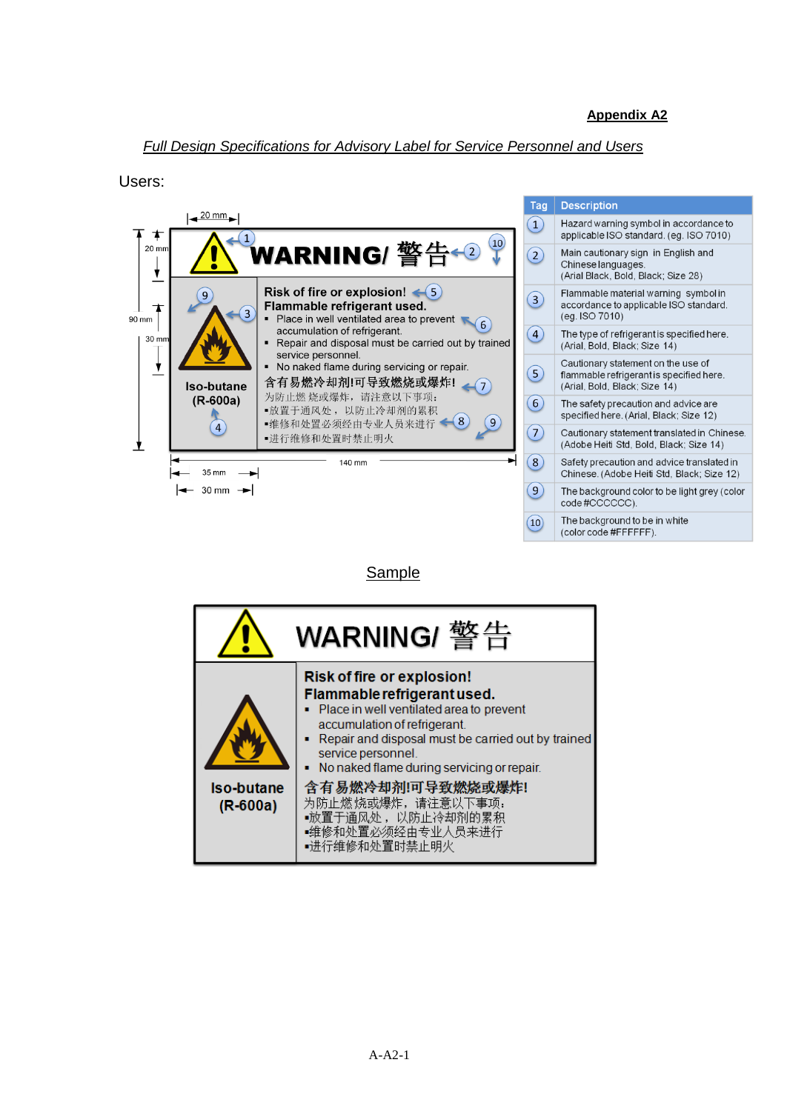### *Full Design Specifications for Advisory Label for Service Personnel and Users*

Users:



Sample

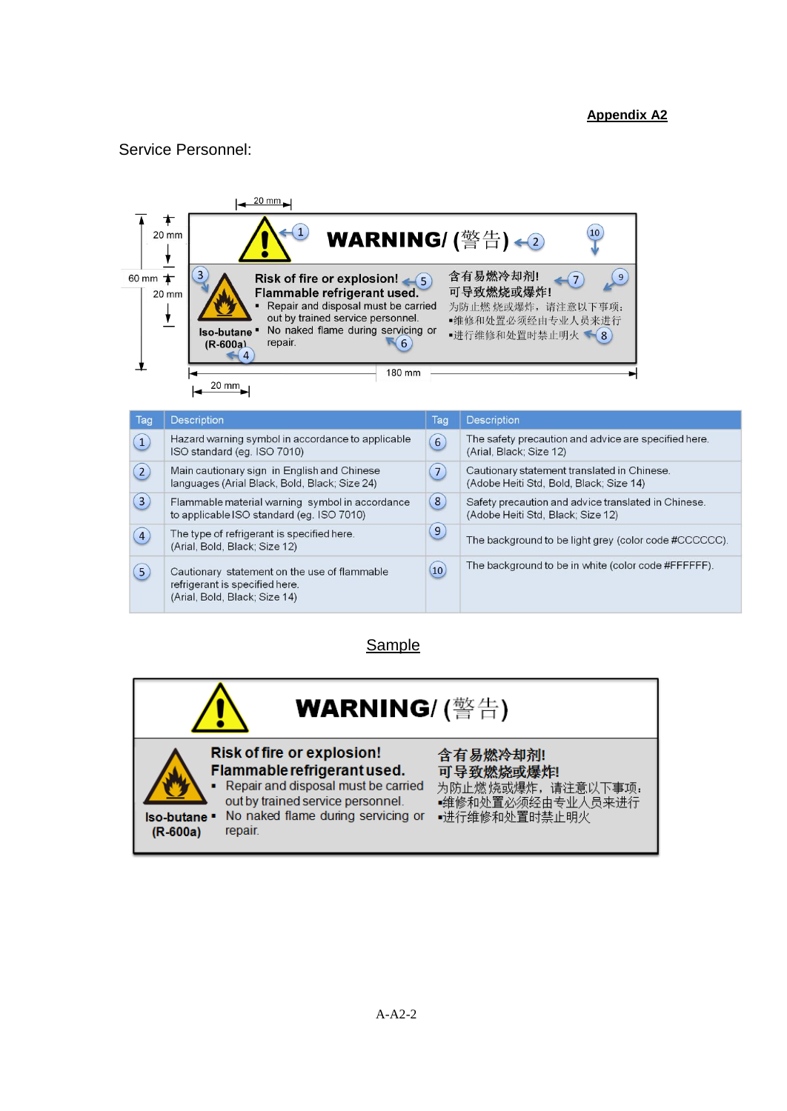### **Appendix A2**

### Service Personnel:



| Tag               | <b>Description</b>                                                                                              | Tag               | <b>Description</b>                                                                       |
|-------------------|-----------------------------------------------------------------------------------------------------------------|-------------------|------------------------------------------------------------------------------------------|
| $\left( 1\right)$ | Hazard warning symbol in accordance to applicable<br>ISO standard (eg. ISO 7010)                                | 6                 | The safety precaution and advice are specified here.<br>(Arial, Black; Size 12)          |
| $\left( 2\right)$ | Main cautionary sign in English and Chinese<br>languages (Arial Black, Bold, Black; Size 24)                    | 7 <sup>1</sup>    | Cautionary statement translated in Chinese.<br>(Adobe Heiti Std, Bold, Black; Size 14)   |
| $\left(3\right)$  | Flammable material warning symbol in accordance<br>to applicable ISO standard (eq. ISO 7010)                    | $\boxed{8}$       | Safety precaution and advice translated in Chinese.<br>(Adobe Heiti Std, Black; Size 12) |
| $\left( 4\right)$ | The type of refrigerant is specified here.<br>(Arial, Bold, Black; Size 12)                                     | 9 <sub>o</sub>    | The background to be light grey (color code #CCCCCC).                                    |
| (5)               | Cautionary statement on the use of flammable<br>refrigerant is specified here.<br>(Arial, Bold, Black; Size 14) | $\left(10\right)$ | The background to be in white (color code #FFFFFF).                                      |

Sample

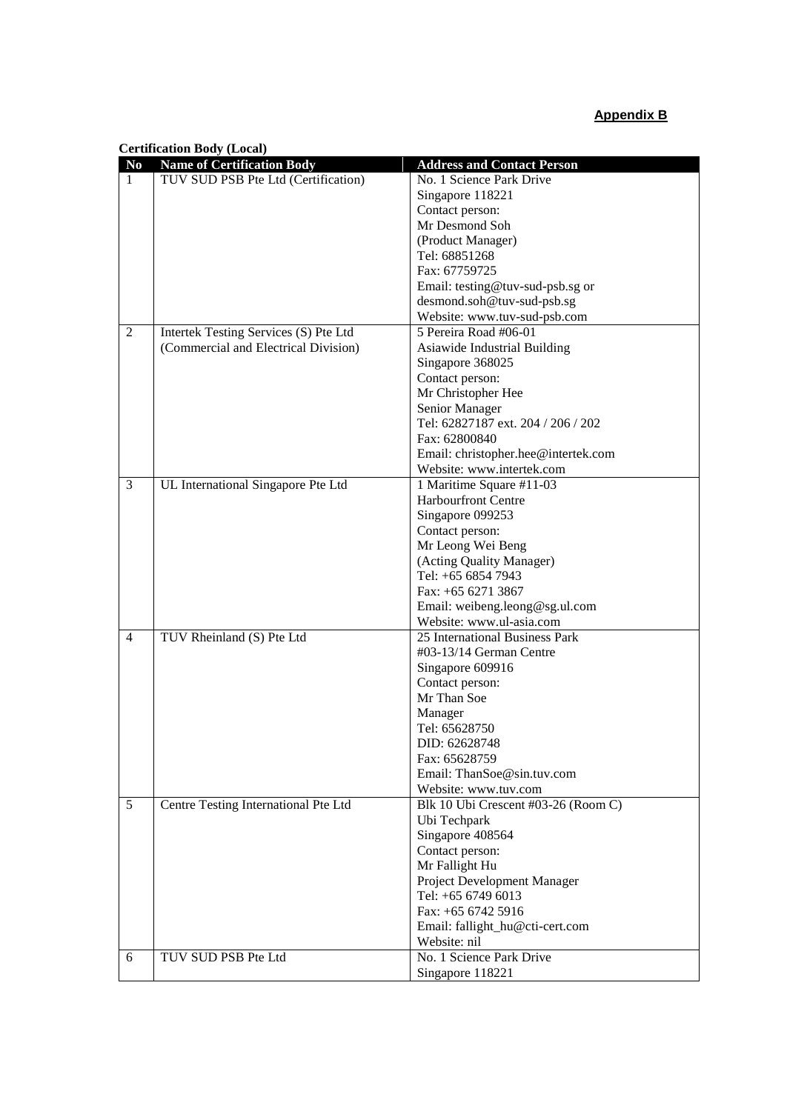## **Appendix B**

| <b>Certification Body (Local)</b> |  |  |
|-----------------------------------|--|--|
|-----------------------------------|--|--|

| No | <b>Name of Certification Body</b>     | <b>Address and Contact Person</b>   |
|----|---------------------------------------|-------------------------------------|
| 1  | TUV SUD PSB Pte Ltd (Certification)   | No. 1 Science Park Drive            |
|    |                                       | Singapore 118221                    |
|    |                                       | Contact person:                     |
|    |                                       | Mr Desmond Soh                      |
|    |                                       | (Product Manager)                   |
|    |                                       | Tel: 68851268                       |
|    |                                       | Fax: 67759725                       |
|    |                                       | Email: testing@tuv-sud-psb.sg or    |
|    |                                       | desmond.soh@tuv-sud-psb.sg          |
|    |                                       | Website: www.tuv-sud-psb.com        |
| 2  | Intertek Testing Services (S) Pte Ltd | 5 Pereira Road #06-01               |
|    | (Commercial and Electrical Division)  | Asiawide Industrial Building        |
|    |                                       | Singapore 368025                    |
|    |                                       | Contact person:                     |
|    |                                       | Mr Christopher Hee                  |
|    |                                       | Senior Manager                      |
|    |                                       | Tel: 62827187 ext. 204 / 206 / 202  |
|    |                                       | Fax: 62800840                       |
|    |                                       | Email: christopher.hee@intertek.com |
|    |                                       | Website: www.intertek.com           |
| 3  | UL International Singapore Pte Ltd    | 1 Maritime Square #11-03            |
|    |                                       | <b>Harbourfront Centre</b>          |
|    |                                       | Singapore 099253                    |
|    |                                       | Contact person:                     |
|    |                                       | Mr Leong Wei Beng                   |
|    |                                       | (Acting Quality Manager)            |
|    |                                       | Tel: +65 6854 7943                  |
|    |                                       | Fax: $+6562713867$                  |
|    |                                       | Email: weibeng.leong@sg.ul.com      |
|    |                                       | Website: www.ul-asia.com            |
| 4  | TUV Rheinland (S) Pte Ltd             | 25 International Business Park      |
|    |                                       | #03-13/14 German Centre             |
|    |                                       | Singapore 609916                    |
|    |                                       | Contact person:                     |
|    |                                       | Mr Than Soe                         |
|    |                                       | Manager                             |
|    |                                       | Tel: 65628750                       |
|    |                                       | DID: 62628748                       |
|    |                                       | Fax: 65628759                       |
|    |                                       | Email: ThanSoe@sin.tuv.com          |
|    |                                       | Website: www.tuv.com                |
| 5  | Centre Testing International Pte Ltd  | Blk 10 Ubi Crescent #03-26 (Room C) |
|    |                                       | Ubi Techpark                        |
|    |                                       | Singapore 408564                    |
|    |                                       | Contact person:                     |
|    |                                       | Mr Fallight Hu                      |
|    |                                       | Project Development Manager         |
|    |                                       | Tel: +65 6749 6013                  |
|    |                                       | Fax: +65 6742 5916                  |
|    |                                       | Email: fallight_hu@cti-cert.com     |
|    |                                       | Website: nil                        |
| 6  | TUV SUD PSB Pte Ltd                   | No. 1 Science Park Drive            |
|    |                                       | Singapore 118221                    |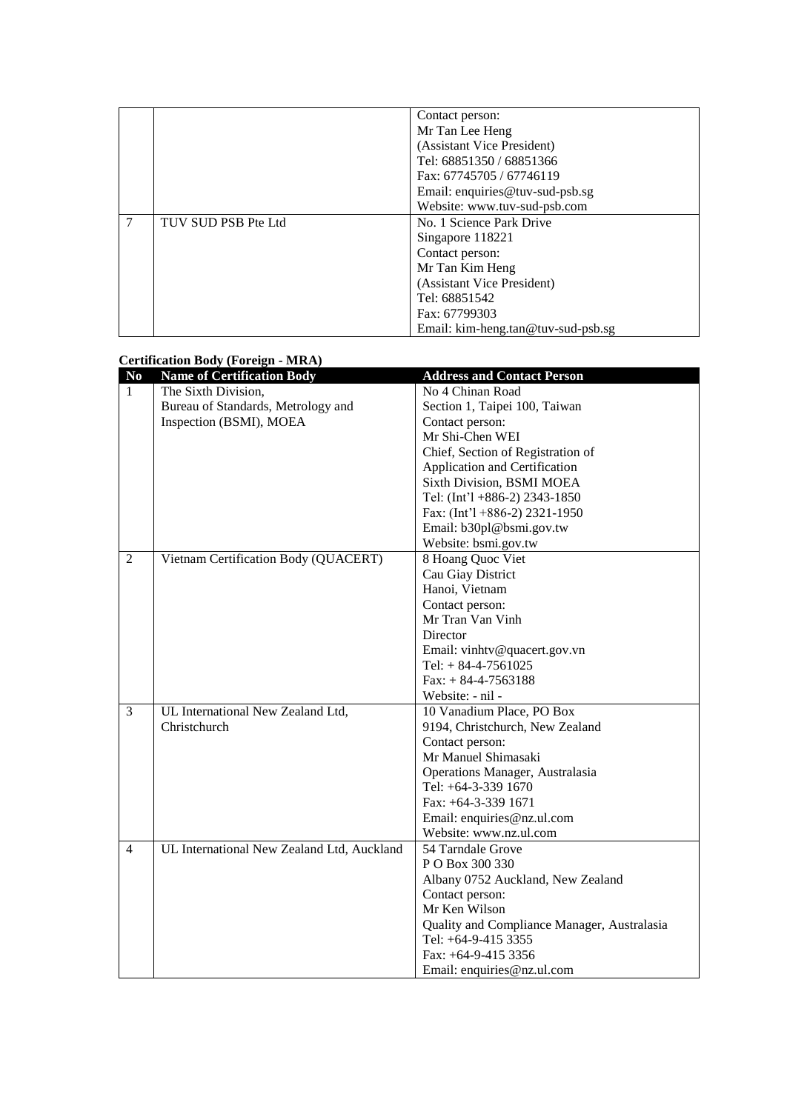|   |                     | Contact person:                    |
|---|---------------------|------------------------------------|
|   |                     | Mr Tan Lee Heng                    |
|   |                     | (Assistant Vice President)         |
|   |                     | Tel: 68851350 / 68851366           |
|   |                     | Fax: 67745705 / 67746119           |
|   |                     | Email: enquiries@tuv-sud-psb.sg    |
|   |                     | Website: www.tuv-sud-psb.com       |
| 7 | TUV SUD PSB Pte Ltd | No. 1 Science Park Drive           |
|   |                     | Singapore 118221                   |
|   |                     | Contact person:                    |
|   |                     | Mr Tan Kim Heng                    |
|   |                     | (Assistant Vice President)         |
|   |                     | Tel: 68851542                      |
|   |                     | Fax: 67799303                      |
|   |                     | Email: kim-heng.tan@tuv-sud-psb.sg |

#### **Certification Body (Foreign - MRA)**

| No             | <b>Name of Certification Body</b>          | <b>Address and Contact Person</b>           |
|----------------|--------------------------------------------|---------------------------------------------|
| 1              | The Sixth Division,                        | No 4 Chinan Road                            |
|                | Bureau of Standards, Metrology and         | Section 1, Taipei 100, Taiwan               |
|                | Inspection (BSMI), MOEA                    | Contact person:                             |
|                |                                            | Mr Shi-Chen WEI                             |
|                |                                            | Chief, Section of Registration of           |
|                |                                            | Application and Certification               |
|                |                                            | Sixth Division, BSMI MOEA                   |
|                |                                            | Tel: (Int'l +886-2) 2343-1850               |
|                |                                            | Fax: $(Int'1 + 886-2)$ 2321-1950            |
|                |                                            | Email: b30pl@bsmi.gov.tw                    |
|                |                                            | Website: bsmi.gov.tw                        |
| $\overline{2}$ | Vietnam Certification Body (QUACERT)       | 8 Hoang Quoc Viet                           |
|                |                                            | Cau Giay District                           |
|                |                                            | Hanoi, Vietnam                              |
|                |                                            | Contact person:                             |
|                |                                            | Mr Tran Van Vinh                            |
|                |                                            | Director                                    |
|                |                                            | Email: vinhtv@quacert.gov.vn                |
|                |                                            | Tel: $+ 84 - 4 - 7561025$                   |
|                |                                            | $Fax: + 84-4-7563188$                       |
|                |                                            | Website: - nil -                            |
| 3              | UL International New Zealand Ltd,          | 10 Vanadium Place, PO Box                   |
|                | Christchurch                               | 9194, Christchurch, New Zealand             |
|                |                                            | Contact person:                             |
|                |                                            | Mr Manuel Shimasaki                         |
|                |                                            | Operations Manager, Australasia             |
|                |                                            | Tel: $+64-3-339$ 1670                       |
|                |                                            | Fax: +64-3-339 1671                         |
|                |                                            | Email: enquiries@nz.ul.com                  |
|                |                                            | Website: www.nz.ul.com                      |
| 4              | UL International New Zealand Ltd, Auckland | 54 Tarndale Grove                           |
|                |                                            | P O Box 300 330                             |
|                |                                            | Albany 0752 Auckland, New Zealand           |
|                |                                            | Contact person:                             |
|                |                                            | Mr Ken Wilson                               |
|                |                                            | Quality and Compliance Manager, Australasia |
|                |                                            | Tel: +64-9-415 3355                         |
|                |                                            | Fax: $+64-9-415$ 3356                       |
|                |                                            | Email: enquiries@nz.ul.com                  |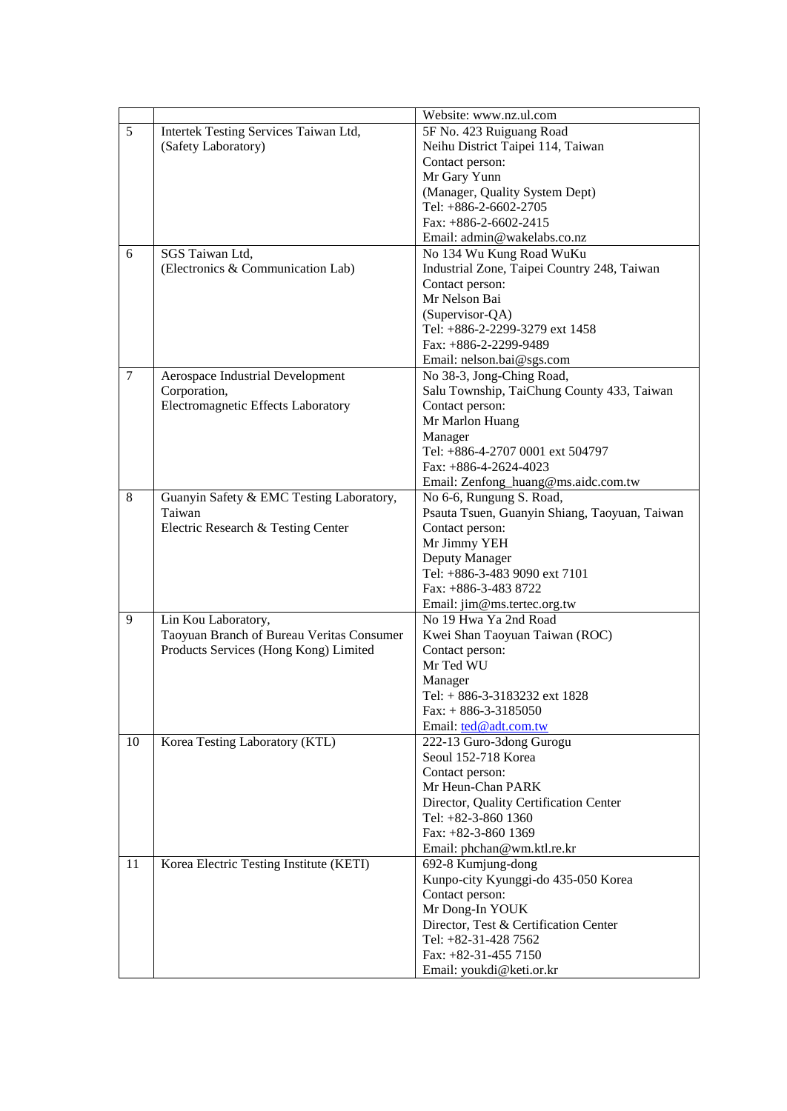|                |                                           | Website: www.nz.ul.com                        |
|----------------|-------------------------------------------|-----------------------------------------------|
| 5              | Intertek Testing Services Taiwan Ltd,     | 5F No. 423 Ruiguang Road                      |
|                | (Safety Laboratory)                       | Neihu District Taipei 114, Taiwan             |
|                |                                           | Contact person:                               |
|                |                                           | Mr Gary Yunn                                  |
|                |                                           | (Manager, Quality System Dept)                |
|                |                                           | Tel: +886-2-6602-2705                         |
|                |                                           | Fax: $+886-2-6602-2415$                       |
|                |                                           | Email: admin@wakelabs.co.nz                   |
| 6              | SGS Taiwan Ltd.                           | No 134 Wu Kung Road WuKu                      |
|                | (Electronics & Communication Lab)         | Industrial Zone, Taipei Country 248, Taiwan   |
|                |                                           | Contact person:                               |
|                |                                           | Mr Nelson Bai                                 |
|                |                                           | (Supervisor-QA)                               |
|                |                                           | Tel: +886-2-2299-3279 ext 1458                |
|                |                                           | Fax: +886-2-2299-9489                         |
|                |                                           | Email: nelson.bai@sgs.com                     |
| $\overline{7}$ | Aerospace Industrial Development          | No 38-3, Jong-Ching Road,                     |
|                | Corporation,                              | Salu Township, TaiChung County 433, Taiwan    |
|                | Electromagnetic Effects Laboratory        | Contact person:                               |
|                |                                           | Mr Marlon Huang                               |
|                |                                           | Manager                                       |
|                |                                           | Tel: +886-4-2707 0001 ext 504797              |
|                |                                           | Fax: $+886-4-2624-4023$                       |
|                |                                           | Email: Zenfong_huang@ms.aidc.com.tw           |
| 8              | Guanyin Safety & EMC Testing Laboratory,  | No 6-6, Rungung S. Road,                      |
|                | Taiwan                                    | Psauta Tsuen, Guanyin Shiang, Taoyuan, Taiwan |
|                | Electric Research & Testing Center        | Contact person:                               |
|                |                                           | Mr Jimmy YEH                                  |
|                |                                           | Deputy Manager                                |
|                |                                           | Tel: +886-3-483 9090 ext 7101                 |
|                |                                           | Fax: +886-3-483 8722                          |
|                |                                           | Email: jim@ms.tertec.org.tw                   |
| 9              | Lin Kou Laboratory,                       | No 19 Hwa Ya 2nd Road                         |
|                | Taoyuan Branch of Bureau Veritas Consumer | Kwei Shan Taoyuan Taiwan (ROC)                |
|                | Products Services (Hong Kong) Limited     | Contact person:                               |
|                |                                           | Mr Ted WU                                     |
|                |                                           | Manager                                       |
|                |                                           | Tel: + 886-3-3183232 ext 1828                 |
|                |                                           | $Fax: + 886-3-3185050$                        |
|                |                                           | Email: ted@adt.com.tw                         |
| 10             | Korea Testing Laboratory (KTL)            | 222-13 Guro-3dong Gurogu                      |
|                |                                           | Seoul 152-718 Korea                           |
|                |                                           | Contact person:                               |
|                |                                           | Mr Heun-Chan PARK                             |
|                |                                           | Director, Quality Certification Center        |
|                |                                           | Tel: +82-3-860 1360                           |
|                |                                           | Fax: +82-3-860 1369                           |
|                |                                           | Email: phchan@wm.ktl.re.kr                    |
| 11             | Korea Electric Testing Institute (KETI)   | 692-8 Kumjung-dong                            |
|                |                                           | Kunpo-city Kyunggi-do 435-050 Korea           |
|                |                                           | Contact person:                               |
|                |                                           | Mr Dong-In YOUK                               |
|                |                                           | Director, Test & Certification Center         |
|                |                                           | Tel: +82-31-428 7562                          |
|                |                                           | Fax: $+82-31-4557150$                         |
|                |                                           | Email: youkdi@keti.or.kr                      |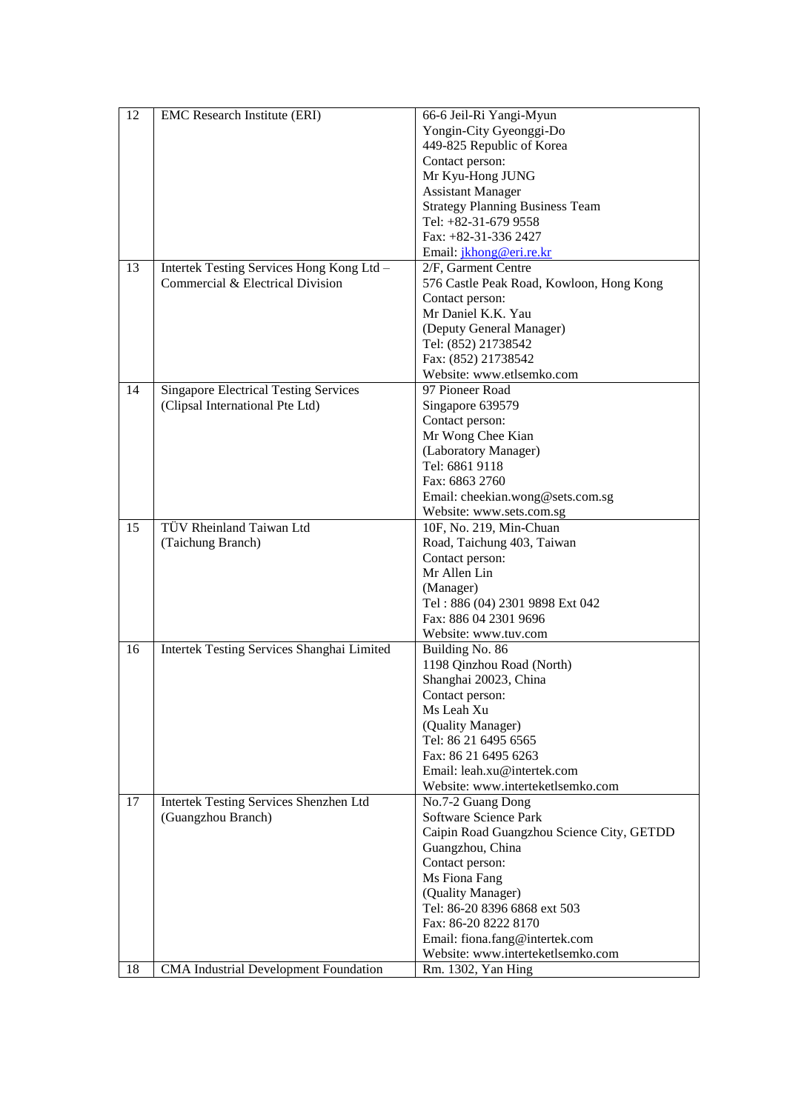| 12 | EMC Research Institute (ERI)                 | 66-6 Jeil-Ri Yangi-Myun                   |
|----|----------------------------------------------|-------------------------------------------|
|    |                                              | Yongin-City Gyeonggi-Do                   |
|    |                                              | 449-825 Republic of Korea                 |
|    |                                              | Contact person:                           |
|    |                                              | Mr Kyu-Hong JUNG                          |
|    |                                              | <b>Assistant Manager</b>                  |
|    |                                              | <b>Strategy Planning Business Team</b>    |
|    |                                              | Tel: +82-31-679 9558                      |
|    |                                              | Fax: +82-31-336 2427                      |
|    |                                              |                                           |
|    |                                              | Email: <i>jkhong@eri.re.kr</i>            |
| 13 | Intertek Testing Services Hong Kong Ltd -    | 2/F, Garment Centre                       |
|    | Commercial & Electrical Division             | 576 Castle Peak Road, Kowloon, Hong Kong  |
|    |                                              | Contact person:                           |
|    |                                              | Mr Daniel K.K. Yau                        |
|    |                                              | (Deputy General Manager)                  |
|    |                                              | Tel: (852) 21738542                       |
|    |                                              | Fax: (852) 21738542                       |
|    |                                              | Website: www.etlsemko.com                 |
| 14 | <b>Singapore Electrical Testing Services</b> | 97 Pioneer Road                           |
|    | (Clipsal International Pte Ltd)              | Singapore 639579                          |
|    |                                              | Contact person:                           |
|    |                                              | Mr Wong Chee Kian                         |
|    |                                              | (Laboratory Manager)                      |
|    |                                              | Tel: 6861 9118                            |
|    |                                              | Fax: 6863 2760                            |
|    |                                              | Email: cheekian.wong@sets.com.sg          |
|    |                                              | Website: www.sets.com.sg                  |
| 15 | TÜV Rheinland Taiwan Ltd                     | 10F, No. 219, Min-Chuan                   |
|    | (Taichung Branch)                            | Road, Taichung 403, Taiwan                |
|    |                                              | Contact person:                           |
|    |                                              | Mr Allen Lin                              |
|    |                                              | (Manager)                                 |
|    |                                              | Tel: 886 (04) 2301 9898 Ext 042           |
|    |                                              | Fax: 886 04 2301 9696                     |
|    |                                              | Website: www.tuv.com                      |
| 16 | Intertek Testing Services Shanghai Limited   | Building No. 86                           |
|    |                                              | 1198 Qinzhou Road (North)                 |
|    |                                              | Shanghai 20023, China                     |
|    |                                              | Contact person:                           |
|    |                                              | Ms Leah Xu                                |
|    |                                              | (Quality Manager)                         |
|    |                                              | Tel: 86 21 6495 6565                      |
|    |                                              | Fax: 86 21 6495 6263                      |
|    |                                              | Email: leah.xu@intertek.com               |
|    |                                              | Website: www.interteketlsemko.com         |
| 17 | Intertek Testing Services Shenzhen Ltd       | No.7-2 Guang Dong                         |
|    | (Guangzhou Branch)                           | Software Science Park                     |
|    |                                              | Caipin Road Guangzhou Science City, GETDD |
|    |                                              | Guangzhou, China                          |
|    |                                              | Contact person:                           |
|    |                                              | Ms Fiona Fang                             |
|    |                                              | (Quality Manager)                         |
|    |                                              | Tel: 86-20 8396 6868 ext 503              |
|    |                                              | Fax: 86-20 8222 8170                      |
|    |                                              | Email: fiona.fang@intertek.com            |
|    |                                              | Website: www.interteketlsemko.com         |
| 18 | <b>CMA</b> Industrial Development Foundation | Rm. 1302, Yan Hing                        |